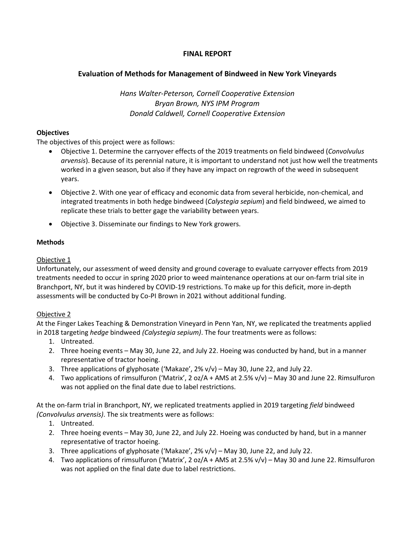# **FINAL REPORT**

# **Evaluation of Methods for Management of Bindweed in New York Vineyards**

*Hans Walter-Peterson, Cornell Cooperative Extension Bryan Brown, NYS IPM Program Donald Caldwell, Cornell Cooperative Extension*

# **Objectives**

The objectives of this project were as follows:

- Objective 1. Determine the carryover effects of the 2019 treatments on field bindweed (*Convolvulus arvensis*). Because of its perennial nature, it is important to understand not just how well the treatments worked in a given season, but also if they have any impact on regrowth of the weed in subsequent years.
- Objective 2. With one year of efficacy and economic data from several herbicide, non-chemical, and integrated treatments in both hedge bindweed (*Calystegia sepium*) and field bindweed, we aimed to replicate these trials to better gage the variability between years.
- Objective 3. Disseminate our findings to New York growers.

# **Methods**

# Objective 1

Unfortunately, our assessment of weed density and ground coverage to evaluate carryover effects from 2019 treatments needed to occur in spring 2020 prior to weed maintenance operations at our on-farm trial site in Branchport, NY, but it was hindered by COVID-19 restrictions. To make up for this deficit, more in-depth assessments will be conducted by Co-PI Brown in 2021 without additional funding.

### Objective 2

At the Finger Lakes Teaching & Demonstration Vineyard in Penn Yan, NY, we replicated the treatments applied in 2018 targeting *hedge* bindweed *(Calystegia sepium)*. The four treatments were as follows:

- 1. Untreated.
- 2. Three hoeing events May 30, June 22, and July 22. Hoeing was conducted by hand, but in a manner representative of tractor hoeing.
- 3. Three applications of glyphosate ('Makaze', 2% v/v) May 30, June 22, and July 22.
- 4. Two applications of rimsulfuron ('Matrix', 2 oz/A + AMS at 2.5% v/v) May 30 and June 22. Rimsulfuron was not applied on the final date due to label restrictions.

At the on-farm trial in Branchport, NY, we replicated treatments applied in 2019 targeting *field* bindweed *(Convolvulus arvensis)*. The six treatments were as follows:

- 1. Untreated.
- 2. Three hoeing events May 30, June 22, and July 22. Hoeing was conducted by hand, but in a manner representative of tractor hoeing.
- 3. Three applications of glyphosate ('Makaze', 2% v/v) May 30, June 22, and July 22.
- 4. Two applications of rimsulfuron ('Matrix', 2 oz/A + AMS at 2.5% v/v) May 30 and June 22. Rimsulfuron was not applied on the final date due to label restrictions.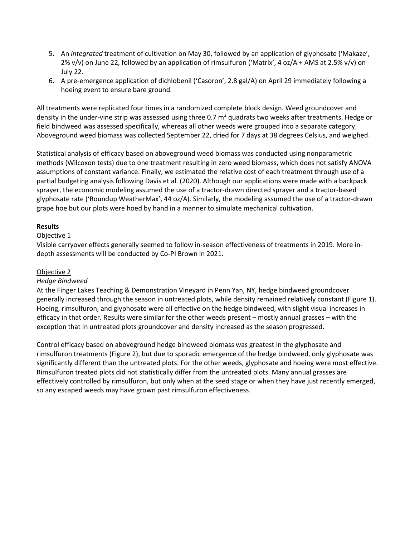- 5. An *integrated* treatment of cultivation on May 30, followed by an application of glyphosate ('Makaze', 2% v/v) on June 22, followed by an application of rimsulfuron ('Matrix', 4 oz/A + AMS at 2.5% v/v) on July 22.
- 6. A pre-emergence application of dichlobenil ('Casoron', 2.8 gal/A) on April 29 immediately following a hoeing event to ensure bare ground.

All treatments were replicated four times in a randomized complete block design. Weed groundcover and density in the under-vine strip was assessed using three 0.7  $m^2$  quadrats two weeks after treatments. Hedge or field bindweed was assessed specifically, whereas all other weeds were grouped into a separate category. Aboveground weed biomass was collected September 22, dried for 7 days at 38 degrees Celsius, and weighed.

Statistical analysis of efficacy based on aboveground weed biomass was conducted using nonparametric methods (Wilcoxon tests) due to one treatment resulting in zero weed biomass, which does not satisfy ANOVA assumptions of constant variance. Finally, we estimated the relative cost of each treatment through use of a partial budgeting analysis following Davis et al. (2020). Although our applications were made with a backpack sprayer, the economic modeling assumed the use of a tractor-drawn directed sprayer and a tractor-based glyphosate rate ('Roundup WeatherMax', 44 oz/A). Similarly, the modeling assumed the use of a tractor-drawn grape hoe but our plots were hoed by hand in a manner to simulate mechanical cultivation.

### **Results**

### Objective 1

Visible carryover effects generally seemed to follow in-season effectiveness of treatments in 2019. More indepth assessments will be conducted by Co-PI Brown in 2021.

### Objective 2

### *Hedge Bindweed*

At the Finger Lakes Teaching & Demonstration Vineyard in Penn Yan, NY, hedge bindweed groundcover generally increased through the season in untreated plots, while density remained relatively constant (Figure 1). Hoeing, rimsulfuron, and glyphosate were all effective on the hedge bindweed, with slight visual increases in efficacy in that order. Results were similar for the other weeds present – mostly annual grasses – with the exception that in untreated plots groundcover and density increased as the season progressed.

Control efficacy based on aboveground hedge bindweed biomass was greatest in the glyphosate and rimsulfuron treatments (Figure 2), but due to sporadic emergence of the hedge bindweed, only glyphosate was significantly different than the untreated plots. For the other weeds, glyphosate and hoeing were most effective. Rimsulfuron treated plots did not statistically differ from the untreated plots. Many annual grasses are effectively controlled by rimsulfuron, but only when at the seed stage or when they have just recently emerged, so any escaped weeds may have grown past rimsulfuron effectiveness.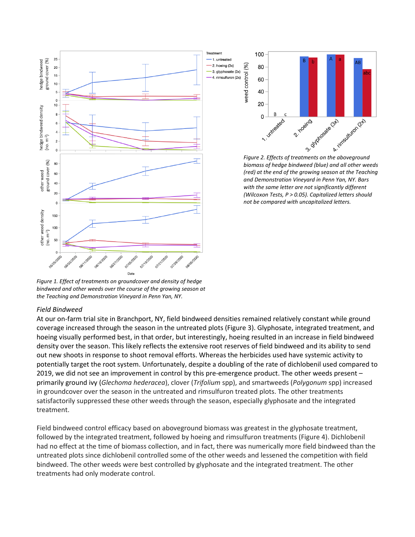

Treatment 1. untreated -2. hoeing (3x) weed control (%) 3. glyphosate (3x) 4. rimsulfuron (2x)



*biomass of hedge bindweed (blue) and all other weeds (red) at the end of the growing season at the Teaching and Demonstration Vineyard in Penn Yan, NY. Bars with the same letter are not significantly different (Wilcoxon Tests, P > 0.05). Capitalized letters should not be compared with uncapitalized letters.*

*Figure 1. Effect of treatments on groundcover and density of hedge bindweed and other weeds over the course of the growing season at the Teaching and Demonstration Vineyard in Penn Yan, NY.*

### *Field Bindweed*

At our on-farm trial site in Branchport, NY, field bindweed densities remained relatively constant while ground coverage increased through the season in the untreated plots (Figure 3). Glyphosate, integrated treatment, and hoeing visually performed best, in that order, but interestingly, hoeing resulted in an increase in field bindweed density over the season. This likely reflects the extensive root reserves of field bindweed and its ability to send out new shoots in response to shoot removal efforts. Whereas the herbicides used have systemic activity to potentially target the root system. Unfortunately, despite a doubling of the rate of dichlobenil used compared to 2019, we did not see an improvement in control by this pre-emergence product. The other weeds present – primarily ground ivy (*Glechoma hederacea*), clover (*Trifolium* spp), and smartweeds (*Polygonum* spp) increased in groundcover over the season in the untreated and rimsulfuron treated plots. The other treatments satisfactorily suppressed these other weeds through the season, especially glyphosate and the integrated treatment.

Field bindweed control efficacy based on aboveground biomass was greatest in the glyphosate treatment, followed by the integrated treatment, followed by hoeing and rimsulfuron treatments (Figure 4). Dichlobenil had no effect at the time of biomass collection, and in fact, there was numerically more field bindweed than the untreated plots since dichlobenil controlled some of the other weeds and lessened the competition with field bindweed. The other weeds were best controlled by glyphosate and the integrated treatment. The other treatments had only moderate control.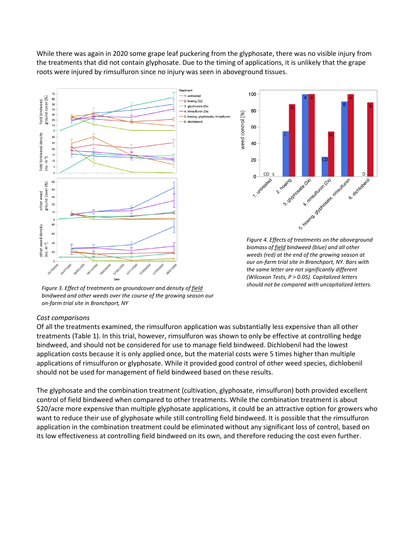While there was again in 2020 some grape leaf puckering from the glyphosate, there was no visible injury from the treatments that did not contain glyphosate. Due to the timing of applications, it is unlikely that the grape roots were injured by rimsulfuron since no injury was seen in aboveground tissues.



*Figure 3. Effect of treatments on groundcover and density of field bindweed and other weeds over the course of the growing season our on-farm trial site in Branchport, NY*

#### *Cost comparisons*

Of all the treatments examined, the rimsulfuron application was substantially less expensive than all other treatments (Table 1). In this trial, however, rimsulfuron was shown to only be effective at controlling hedge bindweed, and should not be considered for use to manage field bindweed. Dichlobenil had the lowest application costs because it is only applied once, but the material costs were 5 times higher than multiple applications of rimsulfuron or glyphosate. While it provided good control of other weed species, dichlobenil should not be used for management of field bindweed based on these results.

The glyphosate and the combination treatment (cultivation, glyphosate, rimsulfuron) both provided excellent control of field bindweed when compared to other treatments. While the combination treatment is about \$20/acre more expensive than multiple glyphosate applications, it could be an attractive option for growers who want to reduce their use of glyphosate while still controlling field bindweed. It is possible that the rimsulfuron application in the combination treatment could be eliminated without any significant loss of control, based on its low effectiveness at controlling field bindweed on its own, and therefore reducing the cost even further.